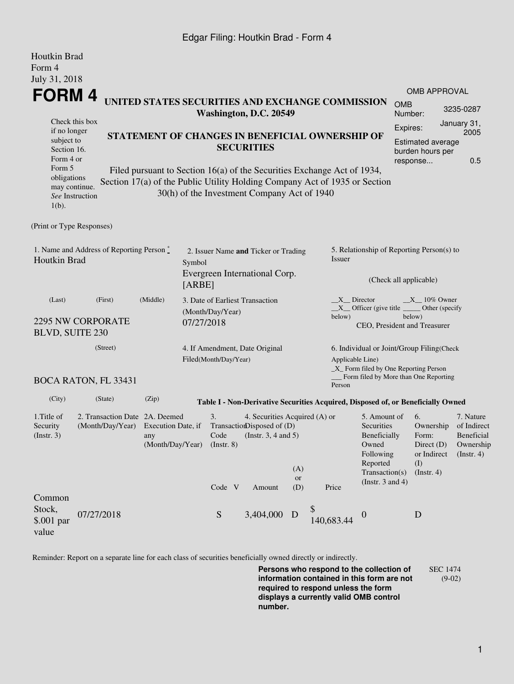### Edgar Filing: Houtkin Brad - Form 4

| Houtkin Brad<br>Form 4                                                                                                                                                                                                                                                        |                             |       |                                                                                                                           |                                                                       |                                                                                  |                                           |                                                                              |                                                                                                                                                    |                                                                                             |                                                                         |           |  |
|-------------------------------------------------------------------------------------------------------------------------------------------------------------------------------------------------------------------------------------------------------------------------------|-----------------------------|-------|---------------------------------------------------------------------------------------------------------------------------|-----------------------------------------------------------------------|----------------------------------------------------------------------------------|-------------------------------------------|------------------------------------------------------------------------------|----------------------------------------------------------------------------------------------------------------------------------------------------|---------------------------------------------------------------------------------------------|-------------------------------------------------------------------------|-----------|--|
| July 31, 2018                                                                                                                                                                                                                                                                 |                             |       |                                                                                                                           |                                                                       |                                                                                  |                                           |                                                                              |                                                                                                                                                    |                                                                                             | <b>OMB APPROVAL</b>                                                     |           |  |
| <b>FORM4</b><br>UNITED STATES SECURITIES AND EXCHANGE COMMISSION<br>Washington, D.C. 20549                                                                                                                                                                                    |                             |       |                                                                                                                           |                                                                       |                                                                                  |                                           |                                                                              |                                                                                                                                                    | <b>OMB</b><br>Number:                                                                       |                                                                         | 3235-0287 |  |
| if no longer<br>subject to<br>Section 16.<br>Form 4 or                                                                                                                                                                                                                        | Check this box              |       | STATEMENT OF CHANGES IN BENEFICIAL OWNERSHIP OF<br><b>SECURITIES</b>                                                      |                                                                       |                                                                                  |                                           |                                                                              |                                                                                                                                                    | January 31,<br>Expires:<br>2005<br>Estimated average<br>burden hours per<br>0.5<br>response |                                                                         |           |  |
| Form 5<br>Filed pursuant to Section 16(a) of the Securities Exchange Act of 1934,<br>obligations<br>Section 17(a) of the Public Utility Holding Company Act of 1935 or Section<br>may continue.<br>30(h) of the Investment Company Act of 1940<br>See Instruction<br>$1(b)$ . |                             |       |                                                                                                                           |                                                                       |                                                                                  |                                           |                                                                              |                                                                                                                                                    |                                                                                             |                                                                         |           |  |
| (Print or Type Responses)                                                                                                                                                                                                                                                     |                             |       |                                                                                                                           |                                                                       |                                                                                  |                                           |                                                                              |                                                                                                                                                    |                                                                                             |                                                                         |           |  |
| 1. Name and Address of Reporting Person $\degree$<br>Houtkin Brad                                                                                                                                                                                                             |                             |       | Symbol                                                                                                                    | 2. Issuer Name and Ticker or Trading<br>Evergreen International Corp. | Issuer                                                                           | 5. Relationship of Reporting Person(s) to |                                                                              |                                                                                                                                                    |                                                                                             |                                                                         |           |  |
|                                                                                                                                                                                                                                                                               |                             |       | [ABBE]                                                                                                                    |                                                                       |                                                                                  |                                           |                                                                              |                                                                                                                                                    |                                                                                             | (Check all applicable)                                                  |           |  |
| (Middle)<br>(Last)<br>(First)<br><b>2295 NW CORPORATE</b><br><b>BLVD, SUITE 230</b>                                                                                                                                                                                           |                             |       |                                                                                                                           | 3. Date of Earliest Transaction<br>(Month/Day/Year)<br>07/27/2018     |                                                                                  |                                           |                                                                              | $X$ Director<br>$X_{10\%}$ Owner<br>$X$ Officer (give title<br>Other (specify<br>below)<br>below)<br>CEO, President and Treasurer                  |                                                                                             |                                                                         |           |  |
| (Street)                                                                                                                                                                                                                                                                      |                             |       |                                                                                                                           | 4. If Amendment, Date Original<br>Filed(Month/Day/Year)               |                                                                                  |                                           |                                                                              | 6. Individual or Joint/Group Filing(Check<br>Applicable Line)<br>$\_X$ Form filed by One Reporting Person<br>Form filed by More than One Reporting |                                                                                             |                                                                         |           |  |
|                                                                                                                                                                                                                                                                               | <b>BOCA RATON, FL 33431</b> |       |                                                                                                                           |                                                                       |                                                                                  |                                           | Person                                                                       |                                                                                                                                                    |                                                                                             |                                                                         |           |  |
| (City)                                                                                                                                                                                                                                                                        | (State)                     | (Zip) |                                                                                                                           |                                                                       | Table I - Non-Derivative Securities Acquired, Disposed of, or Beneficially Owned |                                           |                                                                              |                                                                                                                                                    |                                                                                             |                                                                         |           |  |
| 1. Title of<br>2. Transaction Date 2A. Deemed<br>Security<br>(Month/Day/Year)<br>Execution Date, if<br>$($ Instr. 3 $)$<br>any<br>(Month/Day/Year)                                                                                                                            |                             |       | 3.<br>4. Securities Acquired (A) or<br>TransactionDisposed of (D)<br>(Instr. $3, 4$ and $5$ )<br>Code<br>$($ Instr. 8 $)$ |                                                                       |                                                                                  |                                           | 5. Amount of<br>Securities<br>Beneficially<br>Owned<br>Following<br>Reported |                                                                                                                                                    | 6.<br>Ownership<br>Form:<br>Direct (D)<br>or Indirect<br>(I)                                | 7. Nature<br>of Indirect<br>Beneficial<br>Ownership<br>$($ Instr. 4 $)$ |           |  |
| Common                                                                                                                                                                                                                                                                        |                             |       |                                                                                                                           | Code V                                                                | Amount                                                                           | (A)<br><b>or</b><br>(D)                   | Price                                                                        | Transaction(s)<br>(Instr. $3$ and $4$ )                                                                                                            |                                                                                             | $($ Instr. 4 $)$                                                        |           |  |
| Stock,<br>\$.001 par<br>value                                                                                                                                                                                                                                                 | 07/27/2018                  |       |                                                                                                                           | ${\mathcal S}$                                                        | 3,404,000                                                                        | D                                         | \$<br>140,683.44                                                             | $\theta$                                                                                                                                           |                                                                                             | D                                                                       |           |  |

Reminder: Report on a separate line for each class of securities beneficially owned directly or indirectly.

**Persons who respond to the collection of information contained in this form are not required to respond unless the form displays a currently valid OMB control number.** SEC 1474 (9-02)